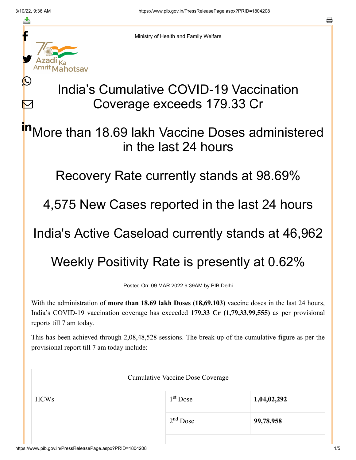≛

Ŀ

 $\bm{\nabla}$ 



Ministry of Health and Family Welfare

## India's Cumulative COVID-19 Vaccination Coverage exceeds 179.33 Cr

More than 18.69 lakh Vaccine Doses administered in the last 24 hours in

Recovery Rate currently stands at 98.69%

4,575 New Cases reported in the last 24 hours

India's Active Caseload currently stands at 46,962

Weekly Positivity Rate is presently at 0.62%

Posted On: 09 MAR 2022 9:39AM by PIB Delhi

With the administration of **more than 18.69 lakh Doses (18,69,103)** vaccine doses in the last 24 hours, India's COVID-19 vaccination coverage has exceeded **179.33 Cr (1,79,33,99,555)** as per provisional reports till 7 am today.

This has been achieved through 2,08,48,528 sessions. The break-up of the cumulative figure as per the provisional report till 7 am today include:

| <b>Cumulative Vaccine Dose Coverage</b> |            |             |  |  |
|-----------------------------------------|------------|-------------|--|--|
| <b>HCWs</b>                             | $1st$ Dose | 1,04,02,292 |  |  |
|                                         | $2nd$ Dose | 99,78,958   |  |  |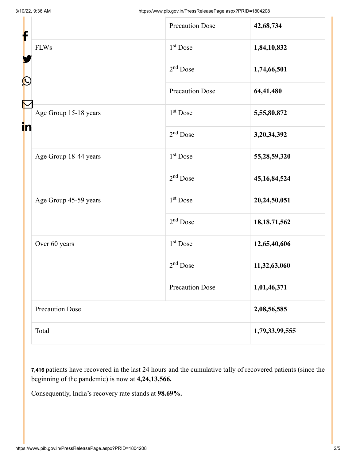| ┢<br>$\mathbf{\Omega}$ |                        | <b>Precaution Dose</b> | 42,68,734       |
|------------------------|------------------------|------------------------|-----------------|
|                        | <b>FLWs</b>            | 1 <sup>st</sup> Dose   | 1,84,10,832     |
|                        |                        | $2nd$ Dose             | 1,74,66,501     |
|                        |                        | <b>Precaution Dose</b> | 64,41,480       |
| in                     | Age Group 15-18 years  | $1st$ Dose             | 5,55,80,872     |
|                        |                        | $2nd$ Dose             | 3,20,34,392     |
|                        | Age Group 18-44 years  | $1st$ Dose             | 55,28,59,320    |
|                        |                        | $2nd$ Dose             | 45, 16, 84, 524 |
|                        | Age Group 45-59 years  | $1st$ Dose             | 20,24,50,051    |
|                        |                        | $2nd$ Dose             | 18, 18, 71, 562 |
|                        | Over 60 years          | $1st$ Dose             | 12,65,40,606    |
|                        |                        | 2 <sup>nd</sup> Dose   | 11,32,63,060    |
|                        |                        | <b>Precaution Dose</b> | 1,01,46,371     |
|                        | <b>Precaution Dose</b> |                        | 2,08,56,585     |
|                        | Total                  |                        | 1,79,33,99,555  |

**7,416** patients have recovered in the last 24 hours and the cumulative tally of recovered patients (since the beginning of the pandemic) is now at **4,24,13,566.**

Consequently, India's recovery rate stands at **98.69%.**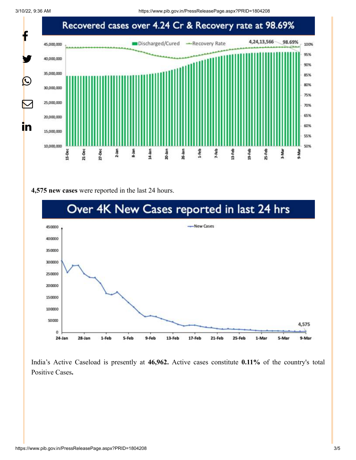

## **4,575 new cases** were reported in the last 24 hours.



India's Active Caseload is presently at **46,962.** Active cases constitute **0.11%** of the country's total Positive Cases**.**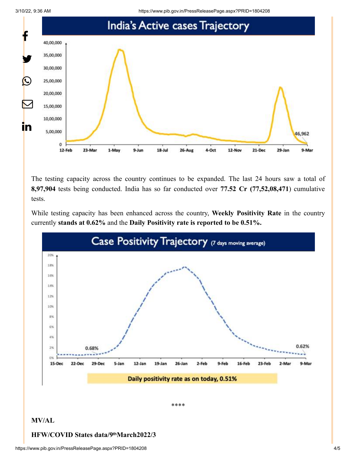3/10/22, 9:36 AM https://www.pib.gov.in/PressReleasePage.aspx?PRID=1804208



The testing capacity across the country continues to be expanded. The last 24 hours saw a total of **8,97,904** tests being conducted. India has so far conducted over **77.52 Cr (77,52,08,471**) cumulative tests.

While testing capacity has been enhanced across the country, **Weekly Positivity Rate** in the country currently **stands at 0.62%** and the **Daily Positivity rate is reported to be 0.51%.**